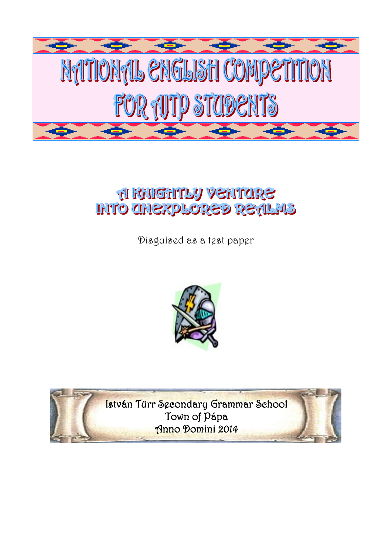

# **GREETING VERTICIRS INTO CHEXPLORED RETLAS**

Disguised as a test paper



István Türr Secondary Grammar School Town of Pápa Anno Domini 2014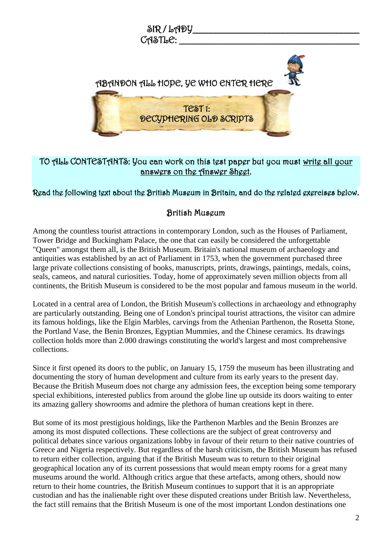

## TO ALL CONTESTANTS: You can work on this test paper but you must write all your answers on the Answer Sheet.

## Read the following text about the British Museum in Britain, and do the related exercises below.

## British Museum

Among the countless tourist attractions in contemporary London, such as the Houses of Parliament, Tower Bridge and Buckingham Palace, the one that can easily be considered the unforgettable "Queen" amongst them all, is the British Museum. Britain's national museum of archaeology and antiquities was established by an act of Parliament in 1753, when the government purchased three large private collections consisting of books, manuscripts, prints, drawings, paintings, medals, coins, seals, cameos, and natural curiosities. Today, home of approximately seven million objects from all continents, the British Museum is considered to be the most popular and famous museum in the world.

Located in a central area of London, the British Museum's collections in archaeology and ethnography are particularly outstanding. Being one of London's principal tourist attractions, the visitor can admire its famous holdings, like the Elgin Marbles, carvings from the Athenian Parthenon, the Rosetta Stone, the Portland Vase, the Benin Bronzes, Egyptian Mummies, and the Chinese ceramics. Its drawings collection holds more than 2.000 drawings constituting the world's largest and most comprehensive collections.

Since it first opened its doors to the public, on January 15, 1759 the museum has been illustrating and documenting the story of human development and culture from its early years to the present day. Because the British Museum does not charge any admission fees, the exception being some temporary special exhibitions, interested publics from around the globe line up outside its doors waiting to enter its amazing gallery showrooms and admire the plethora of human creations kept in there.

But some of its most prestigious holdings, like the Parthenon Marbles and the Benin Bronzes are among its most disputed collections. These collections are the subject of great controversy and political debates since various organizations lobby in favour of their return to their native countries of Greece and Nigeria respectively. But regardless of the harsh criticism, the British Museum has refused to return either collection, arguing that if the British Museum was to return to their original geographical location any of its current possessions that would mean empty rooms for a great many museums around the world. Although critics argue that these artefacts, among others, should now return to their home countries, the British Museum continues to support that it is an appropriate custodian and has the inalienable right over these disputed creations under British law. Nevertheless, the fact still remains that the British Museum is one of the most important London destinations one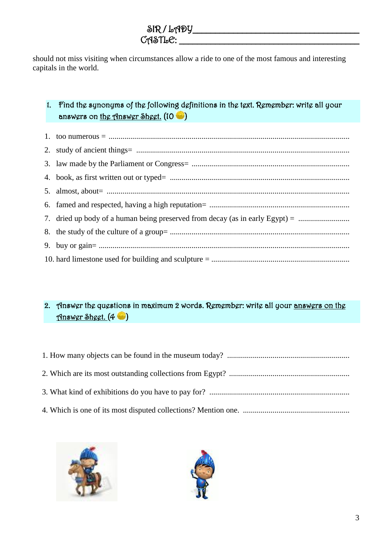$\delta$ R / LADY  $C$  $A$  $S$  $T$  $b$  $C$ :

should not miss visiting when circumstances allow a ride to one of the most famous and interesting capitals in the world.

## 1. Find the synonyms of the following definitions in the text. Remember: write all your answers on the Answer Sheet.  $(10 - )$

| 7. dried up body of a human being preserved from decay (as in early Egypt) = |
|------------------------------------------------------------------------------|
|                                                                              |
|                                                                              |
|                                                                              |

# 2. Answer the questions in maximum 2 words. Remember: write all your answers on the Answer Sheet. (4 )



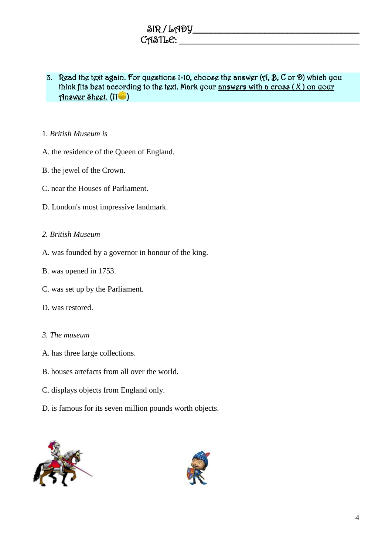| SIR / LADY |  |
|------------|--|
| CASTLE:    |  |

## 3. Read the text again. For questions 1-10, choose the answer (A, B, C or D) which you think fits best according to the text. Mark your answers with a cross  $(X)$  on your Answer Sheet. (11 )

#### 1. *British Museum is*

- A. the residence of the Queen of England.
- B. the jewel of the Crown.
- C. near the Houses of Parliament.
- D. London's most impressive landmark.

#### *2. British Museum*

- A. was founded by a governor in honour of the king.
- B. was opened in 1753.
- C. was set up by the Parliament.
- D. was restored.
- *3. The museum*
- A. has three large collections.
- B. houses artefacts from all over the world.
- C. displays objects from England only.
- D. is famous for its seven million pounds worth objects.



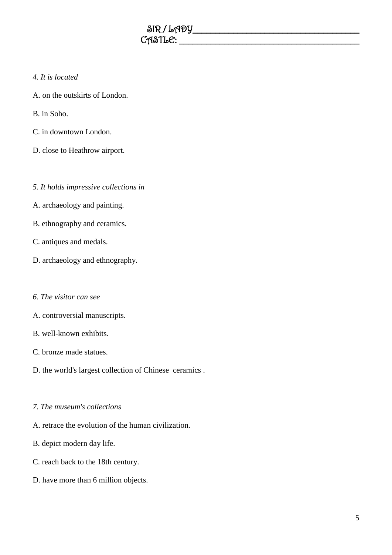#### *4. It is located*

- A. on the outskirts of London.
- B. in Soho.
- C. in downtown London.
- D. close to Heathrow airport.

#### *5. It holds impressive collections in*

- A. archaeology and painting.
- B. ethnography and ceramics.
- C. antiques and medals.
- D. archaeology and ethnography.
- *6. The visitor can see*
- A. controversial manuscripts.
- B. well-known exhibits.
- C. bronze made statues.
- D. the world's largest collection of Chinese ceramics .

#### *7. The museum's collections*

- A. retrace the evolution of the human civilization.
- B. depict modern day life.
- C. reach back to the 18th century.
- D. have more than 6 million objects.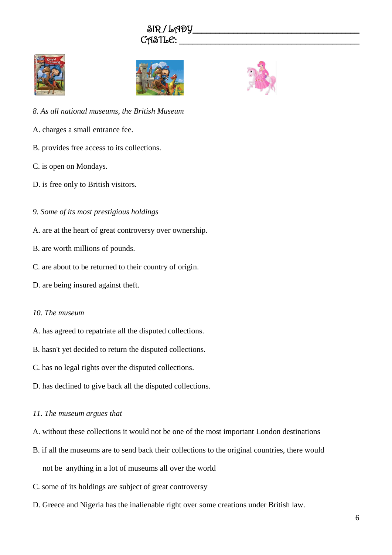





- *8. As all national museums, the British Museum*
- A. charges a small entrance fee.
- B. provides free access to its collections.
- C. is open on Mondays.
- D. is free only to British visitors.
- *9. Some of its most prestigious holdings*
- A. are at the heart of great controversy over ownership.
- B. are worth millions of pounds.
- C. are about to be returned to their country of origin.
- D. are being insured against theft.

#### *10. The museum*

- A. has agreed to repatriate all the disputed collections.
- B. hasn't yet decided to return the disputed collections.
- C. has no legal rights over the disputed collections.
- D. has declined to give back all the disputed collections.

#### *11. The museum argues that*

- A. without these collections it would not be one of the most important London destinations
- B. if all the museums are to send back their collections to the original countries, there would not be anything in a lot of museums all over the world
- C. some of its holdings are subject of great controversy
- D. Greece and Nigeria has the inalienable right over some creations under British law.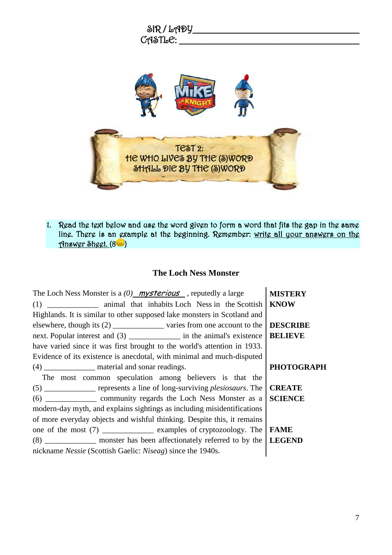

1. Read the text below and use the word given to form a word that fits the gap in the same line. There is an example at the beginning. Remember: write all your answers on the Answer Sheet. (8 )

#### **The Loch Ness Monster**

| The Loch Ness Monster is a $(0)$ mysterious, reputedly a large                           | <b>MISTERY</b>    |
|------------------------------------------------------------------------------------------|-------------------|
|                                                                                          | <b>KNOW</b>       |
| Highlands. It is similar to other supposed lake monsters in Scotland and                 |                   |
| elsewhere, though its (2) _______________ varies from one account to the                 | <b>DESCRIBE</b>   |
| next. Popular interest and (3) _______________ in the animal's existence                 | <b>BELIEVE</b>    |
| have varied since it was first brought to the world's attention in 1933.                 |                   |
| Evidence of its existence is anecdotal, with minimal and much-disputed                   |                   |
| (4) ________________ material and sonar readings.                                        | <b>PHOTOGRAPH</b> |
| The most common speculation among believers is that the                                  |                   |
| (5) ______________ represents a line of long-surviving <i>plesiosaurs</i> . The          | <b>CREATE</b>     |
| (6) ____________________ community regards the Loch Ness Monster as a                    | <b>SCIENCE</b>    |
| modern-day myth, and explains sightings as including misidentifications                  |                   |
| of more everyday objects and wishful thinking. Despite this, it remains                  |                   |
| one of the most $(7)$ _______________________ examples of cryptozoology. The <b>FAME</b> |                   |
| (8) ______________ monster has been affectionately referred to by the LEGEND             |                   |
| nickname Nessie (Scottish Gaelic: Niseag) since the 1940s.                               |                   |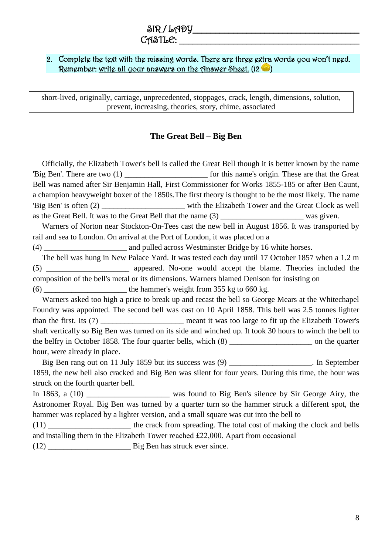#### $C$ ASTL $C$ :

#### 2. Complete the text with the missing words. There are three extra words you won't need. Remember: write all your answers on the Answer Sheet. (12 <sup>12</sup> )

short-lived, originally, carriage, unprecedented, stoppages, crack, length, dimensions, solution, prevent, increasing, theories, story, chime, associated

#### **The Great Bell – Big Ben**

Officially, the Elizabeth Tower's bell is called the Great Bell though it is better known by the name 'Big Ben'. There are two (1) for this name's origin. These are that the Great Bell was named after Sir Benjamin Hall, First Commissioner for Works 1855-185 or after Ben Caunt, a champion heavyweight boxer of the 1850s.The first theory is thought to be the most likely. The name 'Big Ben' is often (2) with the Elizabeth Tower and the Great Clock as well as the Great Bell. It was to the Great Bell that the name (3) was given.

Warners of Norton near Stockton-On-Tees cast the new bell in August 1856. It was transported by rail and sea to London. On arrival at the Port of London, it was placed on a

(4) and pulled across Westminster Bridge by 16 white horses.

The bell was hung in New Palace Yard. It was tested each day until 17 October 1857 when a 1.2 m (5) \_\_\_\_\_\_\_\_\_\_\_\_\_\_\_\_\_\_\_\_\_ appeared. No-one would accept the blame. Theories included the composition of the bell's metal or its dimensions. Warners blamed Denison for insisting on  $(6)$  the hammer's weight from 355 kg to 660 kg.

Warners asked too high a price to break up and recast the bell so George Mears at the Whitechapel Foundry was appointed. The second bell was cast on 10 April 1858. This bell was 2.5 tonnes lighter than the first. Its (7) \_\_\_\_\_\_\_\_\_\_\_\_\_\_\_\_\_\_\_\_\_ meant it was too large to fit up the Elizabeth Tower's shaft vertically so Big Ben was turned on its side and winched up. It took 30 hours to winch the bell to the belfry in October 1858. The four quarter bells, which (8) \_\_\_\_\_\_\_\_\_\_\_\_\_\_\_\_\_\_\_\_\_ on the quarter hour, were already in place.

Big Ben rang out on 11 July 1859 but its success was (9) \_\_\_\_\_\_\_\_\_\_\_\_\_\_\_\_\_\_\_\_\_\_. In September 1859, the new bell also cracked and Big Ben was silent for four years. During this time, the hour was struck on the fourth quarter bell.

In 1863, a (10) \_\_\_\_\_\_\_\_\_\_\_\_\_\_\_\_\_\_\_ was found to Big Ben's silence by Sir George Airy, the Astronomer Royal. Big Ben was turned by a quarter turn so the hammer struck a different spot, the hammer was replaced by a lighter version, and a small square was cut into the bell to

(11) the crack from spreading. The total cost of making the clock and bells and installing them in the Elizabeth Tower reached £22,000. Apart from occasional (12) \_\_\_\_\_\_\_\_\_\_\_\_\_\_\_\_\_\_\_\_\_ Big Ben has struck ever since.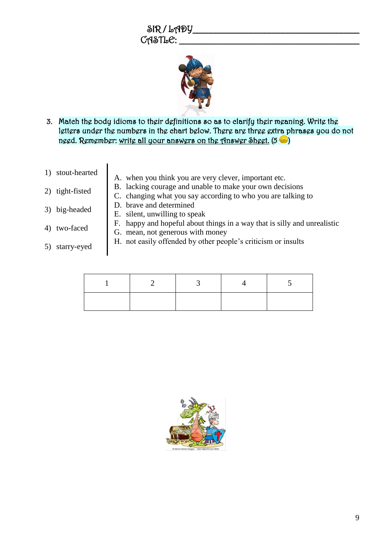$SIR/LAPY$  $C$  $A$  $S$  $T$  $L$  $C$ :



- 3. Match the body idioms to their definitions so as to clarify their meaning. Write the letters under the numbers in the chart below. There are three extra phrases you do not need. Remember: write all your answers on the Answer Sheet.  $(5 \bullet)$
- 
- 1) stout-hearted <br>A. when you think you are very clever, important etc.
- 2) tight-fisted
- B. lacking courage and unable to make your own decisions
- C. changing what you say according to who you are talking to D. brave and determined
- 3) big-headed

4) two-faced

- E. silent, unwilling to speak
- F. happy and hopeful about things in a way that is silly and unrealistic
- G. mean, not generous with money
- 5) starry-eyed
- H. not easily offended by other people's criticism or insults

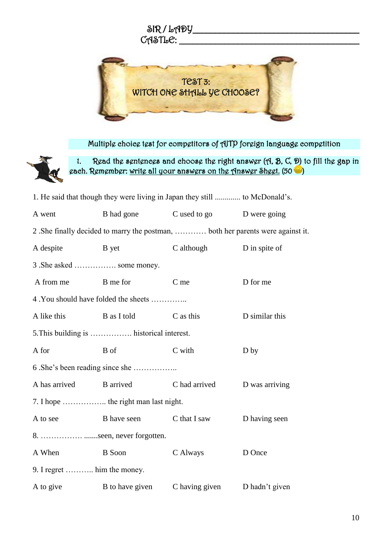

Multiple choice test for competitors of AJTP foreign language competition



1. Read the sentences and choose the right answer (A, B, C, D) to fill the gap in each. Remember: write all your answers on the Answer Sheet. (50

| 1. He said that though they were living in Japan they still  to McDonald's. |                                                                                 |                           |                |  |
|-----------------------------------------------------------------------------|---------------------------------------------------------------------------------|---------------------------|----------------|--|
| A went                                                                      | B had gone                                                                      | C used to go D were going |                |  |
|                                                                             | 2. She finally decided to marry the postman,  both her parents were against it. |                           |                |  |
| A despite                                                                   | B yet                                                                           | C although                | D in spite of  |  |
| 3. She asked  some money.                                                   |                                                                                 |                           |                |  |
| A from me                                                                   | B me for                                                                        | $C$ me                    | D for me       |  |
|                                                                             | 4. You should have folded the sheets                                            |                           |                |  |
| A like this                                                                 | B as I told                                                                     | C as this                 | D similar this |  |
|                                                                             | 5. This building is  historical interest.                                       |                           |                |  |
| A for                                                                       | B of                                                                            | C with                    | D by           |  |
|                                                                             |                                                                                 |                           |                |  |
| A has arrived                                                               | <b>B</b> arrived                                                                | C had arrived             | D was arriving |  |
| 7. I hope  the right man last night.                                        |                                                                                 |                           |                |  |
| A to see                                                                    | <b>B</b> have seen                                                              | C that I saw              | D having seen  |  |
| 8. seen, never forgotten.                                                   |                                                                                 |                           |                |  |
| A When                                                                      | B Soon                                                                          | C Always                  | D Once         |  |
| 9. I regret  him the money.                                                 |                                                                                 |                           |                |  |
| A to give                                                                   | B to have given                                                                 | C having given            | D hadn't given |  |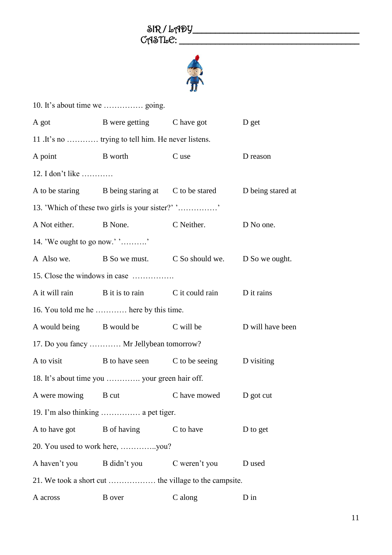

| A got                        | B were getting C have got                                           |               | D get            |
|------------------------------|---------------------------------------------------------------------|---------------|------------------|
|                              | 11 . It's no  trying to tell him. He never listens.                 |               |                  |
| A point                      | B worth                                                             | C use         | D reason         |
| 12. I don't like             |                                                                     |               |                  |
|                              | A to be staring B being staring at C to be stared D being stared at |               |                  |
|                              | 13. 'Which of these two girls is your sister?' ''                   |               |                  |
| A Not either. B None.        |                                                                     | C Neither.    | D No one.        |
| 14. 'We ought to go now.' '' |                                                                     |               |                  |
|                              | A Also we. B So we must. C So should we. D So we ought.             |               |                  |
|                              | 15. Close the windows in case                                       |               |                  |
|                              | A it will rain B it is to rain C it could rain D it rains           |               |                  |
|                              | 16. You told me he  here by this time.                              |               |                  |
|                              | A would being B would be C will be                                  |               | D will have been |
|                              | 17. Do you fancy  Mr Jellybean tomorrow?                            |               |                  |
| A to visit                   | B to have seen C to be seeing D visiting                            |               |                  |
|                              | 18. It's about time you  your green hair off.                       |               |                  |
|                              | A were mowing B cut C have mowed D got cut                          |               |                  |
|                              | 19. I'm also thinking  a pet tiger.                                 |               |                  |
| A to have got                | <b>B</b> of having                                                  | C to have     | D to get         |
|                              |                                                                     |               |                  |
| A haven't you                | B didn't you                                                        | C weren't you | D used           |
|                              |                                                                     |               |                  |
| A across                     | <b>B</b> over                                                       | C along       | $D$ in           |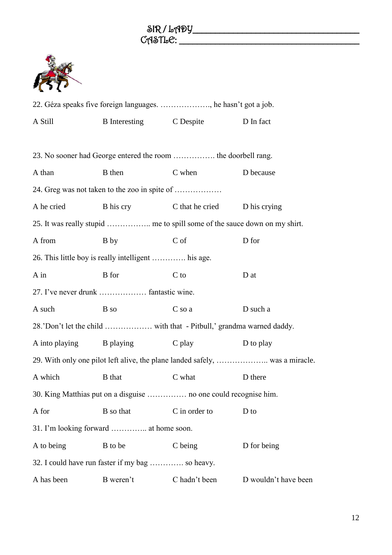

| 22. Géza speaks five foreign languages. , he hasn't got a job.   |                                                                           |                              |                                                                              |  |
|------------------------------------------------------------------|---------------------------------------------------------------------------|------------------------------|------------------------------------------------------------------------------|--|
| A Still                                                          | B Interesting C Despite                                                   |                              | D In fact                                                                    |  |
|                                                                  |                                                                           |                              |                                                                              |  |
|                                                                  | 23. No sooner had George entered the room  the doorbell rang.             |                              |                                                                              |  |
| A than                                                           | <b>B</b> then                                                             | C when                       | D because                                                                    |  |
|                                                                  |                                                                           |                              |                                                                              |  |
| A he cried                                                       | B his cry                                                                 | C that he cried D his crying |                                                                              |  |
|                                                                  | 25. It was really stupid  me to spill some of the sauce down on my shirt. |                              |                                                                              |  |
| A from                                                           | B by                                                                      | C of                         | D for                                                                        |  |
|                                                                  | 26. This little boy is really intelligent  his age.                       |                              |                                                                              |  |
| $A$ in                                                           | <b>B</b> for                                                              | $C$ to                       | D at                                                                         |  |
|                                                                  | 27. I've never drunk  fantastic wine.                                     |                              |                                                                              |  |
| A such                                                           | B so                                                                      | C so a                       | D such a                                                                     |  |
|                                                                  |                                                                           |                              |                                                                              |  |
|                                                                  | A into playing B playing                                                  | $C$ play                     | D to play                                                                    |  |
|                                                                  |                                                                           |                              | 29. With only one pilot left alive, the plane landed safely,  was a miracle. |  |
| A which                                                          | <b>B</b> that                                                             | C what                       | D there                                                                      |  |
| 30. King Matthias put on a disguise  no one could recognise him. |                                                                           |                              |                                                                              |  |
| A for                                                            | B so that                                                                 | C in order to                | D to                                                                         |  |
| 31. I'm looking forward  at home soon.                           |                                                                           |                              |                                                                              |  |
| A to being                                                       | B to be                                                                   | C being                      | D for being                                                                  |  |
| 32. I could have run faster if my bag  so heavy.                 |                                                                           |                              |                                                                              |  |
| A has been                                                       | B weren't                                                                 | C hadn't been                | D wouldn't have been                                                         |  |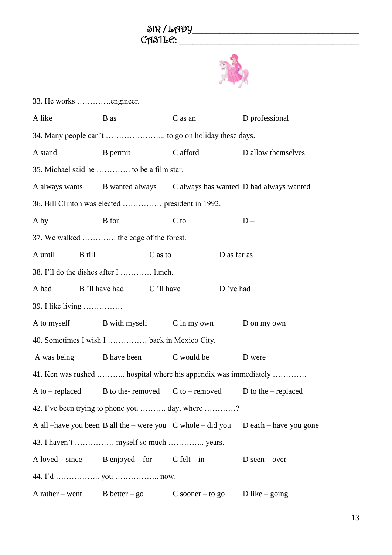

| 33. He works engineer.                          |                                                                      |             |                                                                                        |  |
|-------------------------------------------------|----------------------------------------------------------------------|-------------|----------------------------------------------------------------------------------------|--|
| A like                                          | B as                                                                 | $C$ as an   | D professional                                                                         |  |
|                                                 |                                                                      |             |                                                                                        |  |
| A stand                                         | B permit C afford                                                    |             | D allow themselves                                                                     |  |
|                                                 | 35. Michael said he  to be a film star.                              |             |                                                                                        |  |
|                                                 |                                                                      |             | A always wants B wanted always C always has wanted D had always wanted                 |  |
|                                                 |                                                                      |             |                                                                                        |  |
| A by                                            | <b>B</b> for                                                         | C to        | $D -$                                                                                  |  |
|                                                 | 37. We walked  the edge of the forest.                               |             |                                                                                        |  |
| A until<br>B till                               | C as to                                                              | D as far as |                                                                                        |  |
|                                                 | 38. I'll do the dishes after I  lunch.                               |             |                                                                                        |  |
| A had                                           | B 'll have had C 'll have                                            | D 've had   |                                                                                        |  |
| 39. I like living                               |                                                                      |             |                                                                                        |  |
|                                                 | A to myself B with myself C in my own D on my own                    |             |                                                                                        |  |
|                                                 | 40. Sometimes I wish I  back in Mexico City.                         |             |                                                                                        |  |
|                                                 | A was being B have been                                              | C would be  | D were                                                                                 |  |
|                                                 | 41. Ken was rushed  hospital where his appendix was immediately      |             |                                                                                        |  |
|                                                 | A to – replaced B to the- removed C to – removed D to the – replaced |             |                                                                                        |  |
| 42. I've been trying to phone you  day, where ? |                                                                      |             |                                                                                        |  |
|                                                 |                                                                      |             | A all –have you been B all the – were you $C$ whole – did you $D$ each – have you gone |  |
|                                                 | 43. I haven't  myself so much  years.                                |             |                                                                                        |  |
|                                                 | A loved – since B enjoyed – for $C \text{ felt} - \text{in}$         |             | $D$ seen – over                                                                        |  |
|                                                 |                                                                      |             |                                                                                        |  |
|                                                 | A rather – went B better – go C sooner – to go D like – going        |             |                                                                                        |  |